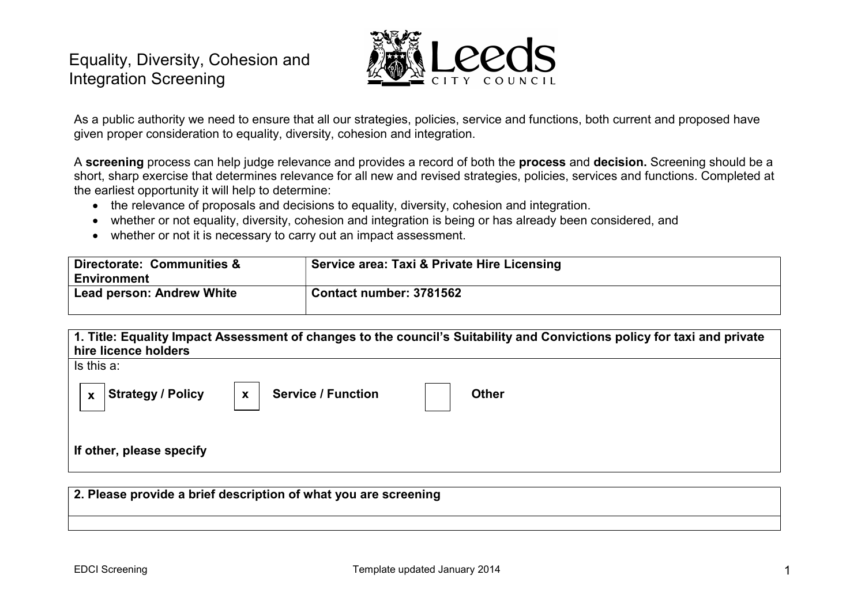# Equality, Diversity, Cohesion and Integration Screening



As a public authority we need to ensure that all our strategies, policies, service and functions, both current and proposed have given proper consideration to equality, diversity, cohesion and integration.

A screening process can help judge relevance and provides a record of both the process and decision. Screening should be a short, sharp exercise that determines relevance for all new and revised strategies, policies, services and functions. Completed at the earliest opportunity it will help to determine:

- the relevance of proposals and decisions to equality, diversity, cohesion and integration.
- whether or not equality, diversity, cohesion and integration is being or has already been considered, and
- whether or not it is necessary to carry out an impact assessment.

| Directorate: Communities &<br><b>Environment</b> | Service area: Taxi & Private Hire Licensing |
|--------------------------------------------------|---------------------------------------------|
| <b>Lead person: Andrew White</b>                 | Contact number: 3781562                     |

| 1. Title: Equality Impact Assessment of changes to the council's Suitability and Convictions policy for taxi and private        |  |  |
|---------------------------------------------------------------------------------------------------------------------------------|--|--|
| hire licence holders                                                                                                            |  |  |
| Is this a:                                                                                                                      |  |  |
| <b>Service / Function</b><br><b>Strategy / Policy</b><br><b>Other</b><br>$\boldsymbol{\mathsf{x}}$<br>$\boldsymbol{\mathsf{x}}$ |  |  |
| If other, please specify                                                                                                        |  |  |

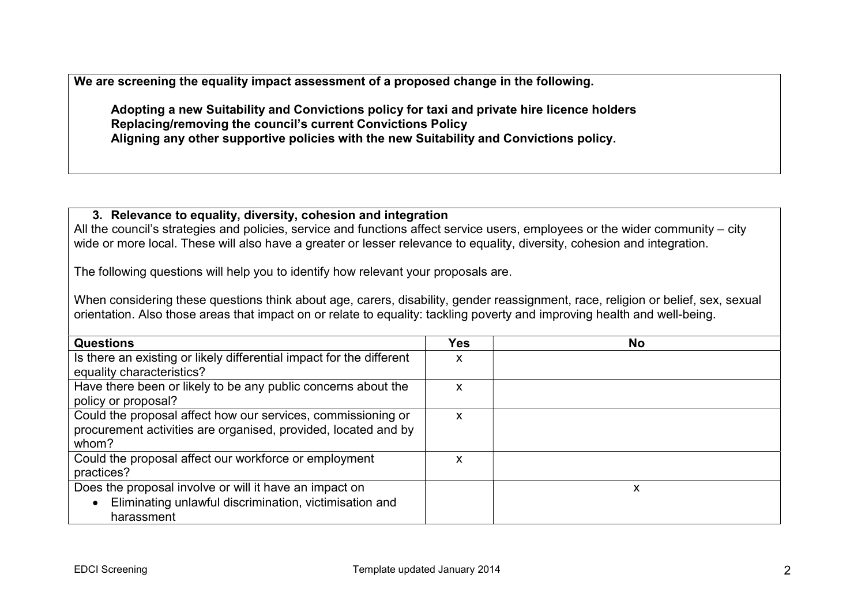We are screening the equality impact assessment of a proposed change in the following.

Adopting a new Suitability and Convictions policy for taxi and private hire licence holders Replacing/removing the council's current Convictions Policy Aligning any other supportive policies with the new Suitability and Convictions policy.

### 3. Relevance to equality, diversity, cohesion and integration

All the council's strategies and policies, service and functions affect service users, employees or the wider community – city wide or more local. These will also have a greater or lesser relevance to equality, diversity, cohesion and integration.

The following questions will help you to identify how relevant your proposals are.

When considering these questions think about age, carers, disability, gender reassignment, race, religion or belief, sex, sexual orientation. Also those areas that impact on or relate to equality: tackling poverty and improving health and well-being.

| <b>Questions</b>                                                     | <b>Yes</b> | <b>No</b> |
|----------------------------------------------------------------------|------------|-----------|
| Is there an existing or likely differential impact for the different | ∧          |           |
| equality characteristics?                                            |            |           |
| Have there been or likely to be any public concerns about the        | X          |           |
| policy or proposal?                                                  |            |           |
| Could the proposal affect how our services, commissioning or         | X          |           |
| procurement activities are organised, provided, located and by       |            |           |
| whom?                                                                |            |           |
| Could the proposal affect our workforce or employment                | x          |           |
| practices?                                                           |            |           |
| Does the proposal involve or will it have an impact on               |            | χ         |
| Eliminating unlawful discrimination, victimisation and               |            |           |
| harassment                                                           |            |           |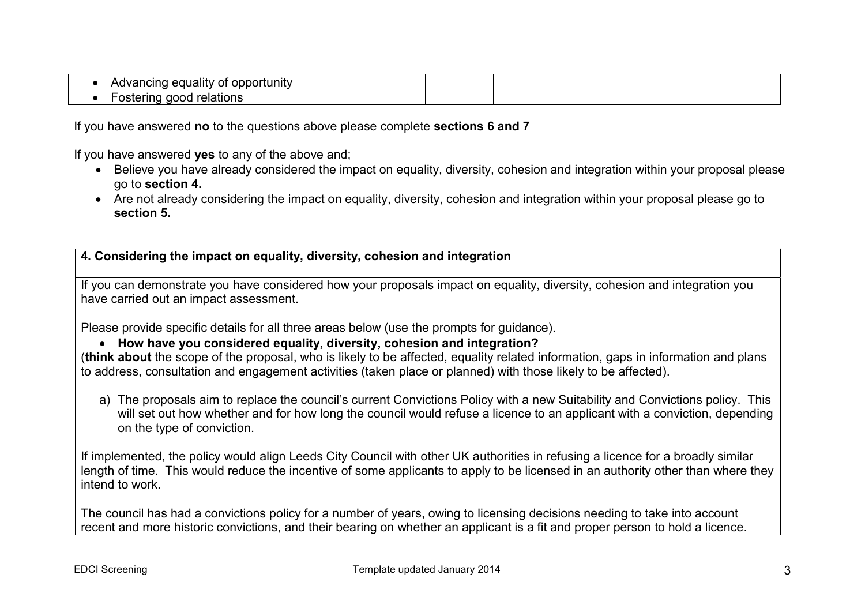Advancing equality of opportunity • Fostering good relations

If you have answered no to the questions above please complete sections 6 and 7

If you have answered **ves** to any of the above and:

- Believe you have already considered the impact on equality, diversity, cohesion and integration within your proposal please go to section 4.
- Are not already considering the impact on equality, diversity, cohesion and integration within your proposal please go to section 5.

4. Considering the impact on equality, diversity, cohesion and integration

If you can demonstrate you have considered how your proposals impact on equality, diversity, cohesion and integration you have carried out an impact assessment.

Please provide specific details for all three areas below (use the prompts for guidance).

# How have you considered equality, diversity, cohesion and integration?

(think about the scope of the proposal, who is likely to be affected, equality related information, gaps in information and plans to address, consultation and engagement activities (taken place or planned) with those likely to be affected).

a) The proposals aim to replace the council's current Convictions Policy with a new Suitability and Convictions policy. This will set out how whether and for how long the council would refuse a licence to an applicant with a conviction, depending on the type of conviction.

If implemented, the policy would align Leeds City Council with other UK authorities in refusing a licence for a broadly similar length of time. This would reduce the incentive of some applicants to apply to be licensed in an authority other than where they intend to work.

The council has had a convictions policy for a number of years, owing to licensing decisions needing to take into account recent and more historic convictions, and their bearing on whether an applicant is a fit and proper person to hold a licence.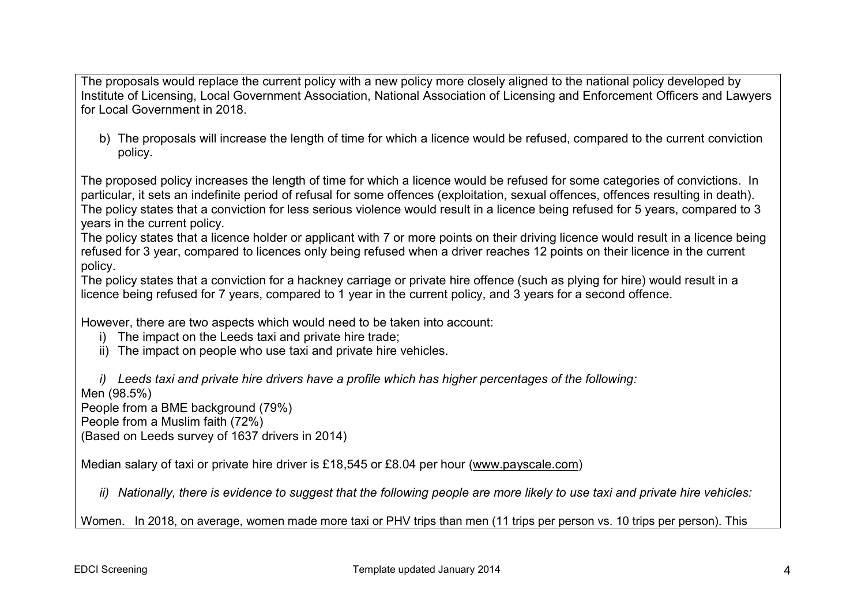The proposals would replace the current policy with a new policy more closely aligned to the national policy developed by Institute of Licensing, Local Government Association, National Association of Licensing and Enforcement Officers and Lawyers for Local Government in 2018.

b) The proposals will increase the length of time for which a licence would be refused, compared to the current conviction policy.

The proposed policy increases the length of time for which a licence would be refused for some categories of convictions. In particular, it sets an indefinite period of refusal for some offences (exploitation, sexual offences, offences resulting in death). The policy states that a conviction for less serious violence would result in a licence being refused for 5 years, compared to 3 years in the current policy.

The policy states that a licence holder or applicant with 7 or more points on their driving licence would result in a licence being refused for 3 year, compared to licences only being refused when a driver reaches 12 points on their licence in the current policy.

The policy states that a conviction for a hackney carriage or private hire offence (such as plying for hire) would result in a licence being refused for 7 years, compared to 1 year in the current policy, and 3 years for a second offence.

However, there are two aspects which would need to be taken into account:

- i) The impact on the Leeds taxi and private hire trade;
- ii) The impact on people who use taxi and private hire vehicles.

i) Leeds taxi and private hire drivers have a profile which has higher percentages of the following:

Men (98.5%)

People from a BME background (79%)

People from a Muslim faith (72%)

(Based on Leeds survey of 1637 drivers in 2014)

Median salary of taxi or private hire driver is £18,545 or £8.04 per hour (www.payscale.com)

ii) Nationally, there is evidence to suggest that the following people are more likely to use taxi and private hire vehicles:

Women. In 2018, on average, women made more taxi or PHV trips than men (11 trips per person vs. 10 trips per person). This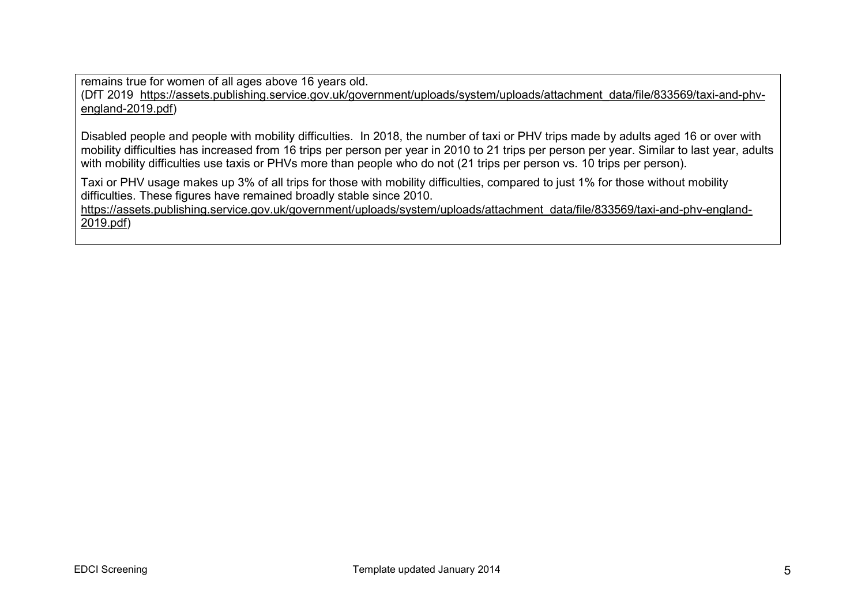remains true for women of all ages above 16 years old.

(DfT 2019 https://assets.publishing.service.gov.uk/government/uploads/system/uploads/attachment\_data/file/833569/taxi-and-phvengland-2019.pdf)

Disabled people and people with mobility difficulties. In 2018, the number of taxi or PHV trips made by adults aged 16 or over with mobility difficulties has increased from 16 trips per person per year in 2010 to 21 trips per person per year. Similar to last year, adults with mobility difficulties use taxis or PHVs more than people who do not (21 trips per person vs. 10 trips per person).

Taxi or PHV usage makes up 3% of all trips for those with mobility difficulties, compared to just 1% for those without mobility difficulties. These figures have remained broadly stable since 2010.

https://assets.publishing.service.gov.uk/government/uploads/system/uploads/attachment\_data/file/833569/taxi-and-phv-england-2019.pdf)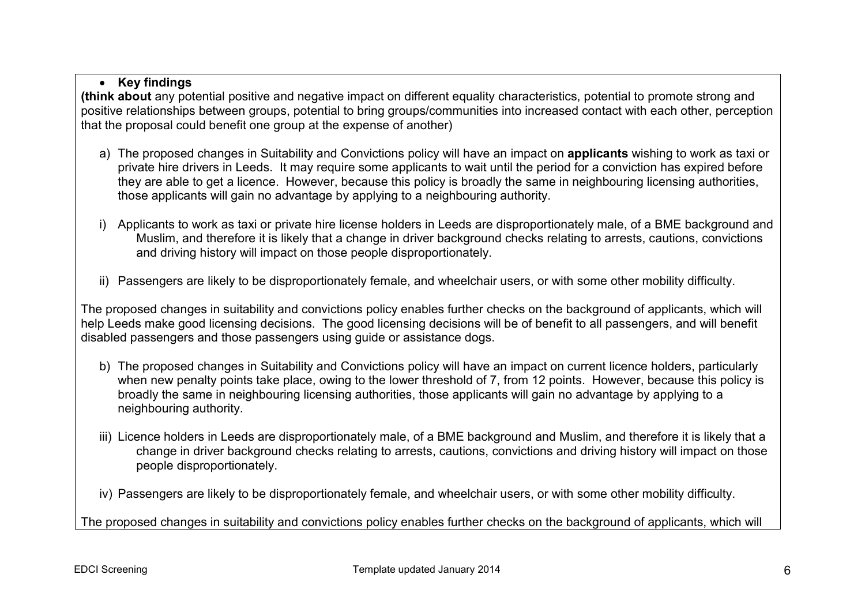# • Key findings

(think about any potential positive and negative impact on different equality characteristics, potential to promote strong and positive relationships between groups, potential to bring groups/communities into increased contact with each other, perception that the proposal could benefit one group at the expense of another)

- a) The proposed changes in Suitability and Convictions policy will have an impact on applicants wishing to work as taxi or private hire drivers in Leeds. It may require some applicants to wait until the period for a conviction has expired before they are able to get a licence. However, because this policy is broadly the same in neighbouring licensing authorities, those applicants will gain no advantage by applying to a neighbouring authority.
- i) Applicants to work as taxi or private hire license holders in Leeds are disproportionately male, of a BME background and Muslim, and therefore it is likely that a change in driver background checks relating to arrests, cautions, convictions and driving history will impact on those people disproportionately.
- ii) Passengers are likely to be disproportionately female, and wheelchair users, or with some other mobility difficulty.

The proposed changes in suitability and convictions policy enables further checks on the background of applicants, which will help Leeds make good licensing decisions. The good licensing decisions will be of benefit to all passengers, and will benefit disabled passengers and those passengers using guide or assistance dogs.

- b) The proposed changes in Suitability and Convictions policy will have an impact on current licence holders, particularly when new penalty points take place, owing to the lower threshold of 7, from 12 points. However, because this policy is broadly the same in neighbouring licensing authorities, those applicants will gain no advantage by applying to a neighbouring authority.
- iii) Licence holders in Leeds are disproportionately male, of a BME background and Muslim, and therefore it is likely that a change in driver background checks relating to arrests, cautions, convictions and driving history will impact on those people disproportionately.
- iv) Passengers are likely to be disproportionately female, and wheelchair users, or with some other mobility difficulty.

The proposed changes in suitability and convictions policy enables further checks on the background of applicants, which will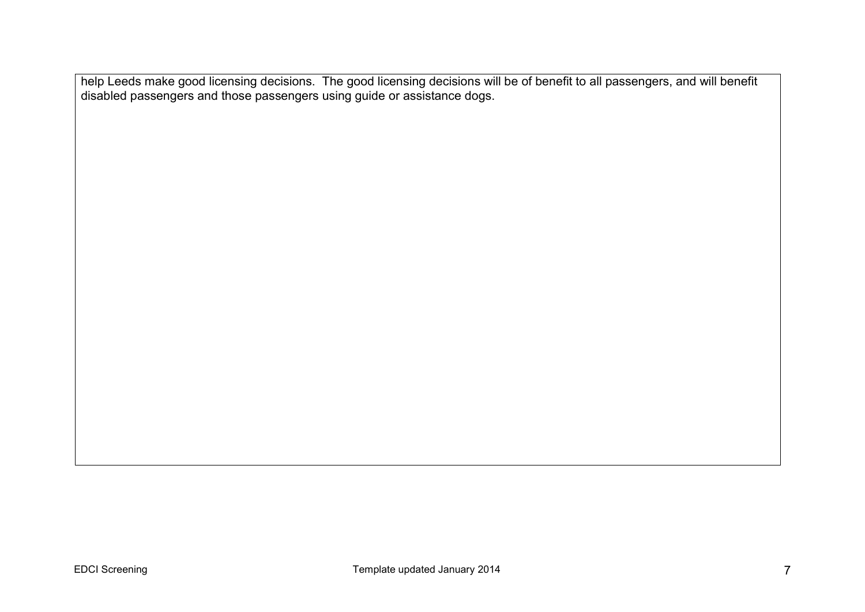help Leeds make good licensing decisions. The good licensing decisions will be of benefit to all passengers, and will benefit disabled passengers and those passengers using guide or assistance dogs.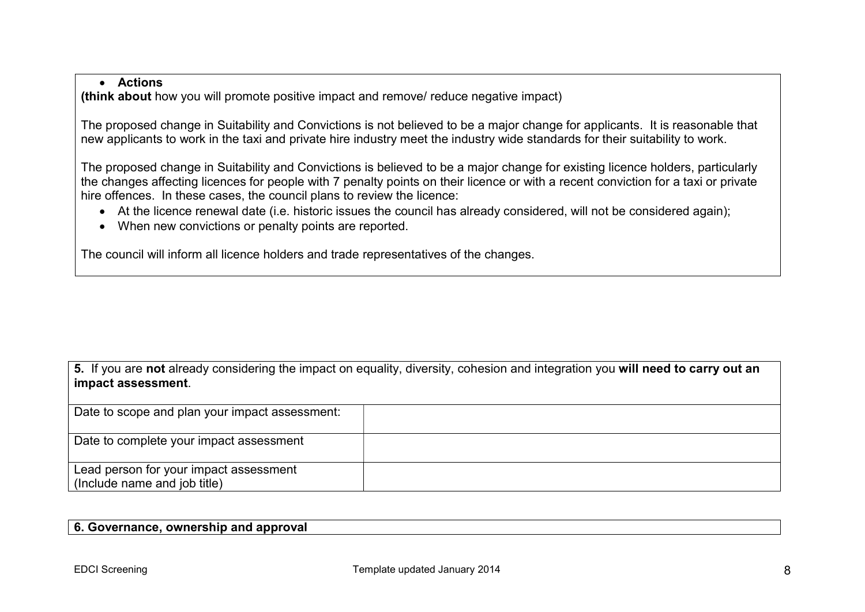## Actions

(think about how you will promote positive impact and remove/ reduce negative impact)

The proposed change in Suitability and Convictions is not believed to be a major change for applicants. It is reasonable that new applicants to work in the taxi and private hire industry meet the industry wide standards for their suitability to work.

The proposed change in Suitability and Convictions is believed to be a major change for existing licence holders, particularly the changes affecting licences for people with 7 penalty points on their licence or with a recent conviction for a taxi or private hire offences. In these cases, the council plans to review the licence:

- At the licence renewal date (i.e. historic issues the council has already considered, will not be considered again);
- When new convictions or penalty points are reported.

The council will inform all licence holders and trade representatives of the changes.

|                    |  |  |  |  |  | 5. If you are not already considering the impact on equality, diversity, cohesion and integration you will need to carry out an |  |
|--------------------|--|--|--|--|--|---------------------------------------------------------------------------------------------------------------------------------|--|
| impact assessment. |  |  |  |  |  |                                                                                                                                 |  |

| Date to scope and plan your impact assessment:                         |  |
|------------------------------------------------------------------------|--|
| Date to complete your impact assessment                                |  |
| Lead person for your impact assessment<br>(Include name and job title) |  |

#### 6. Governance, ownership and approval